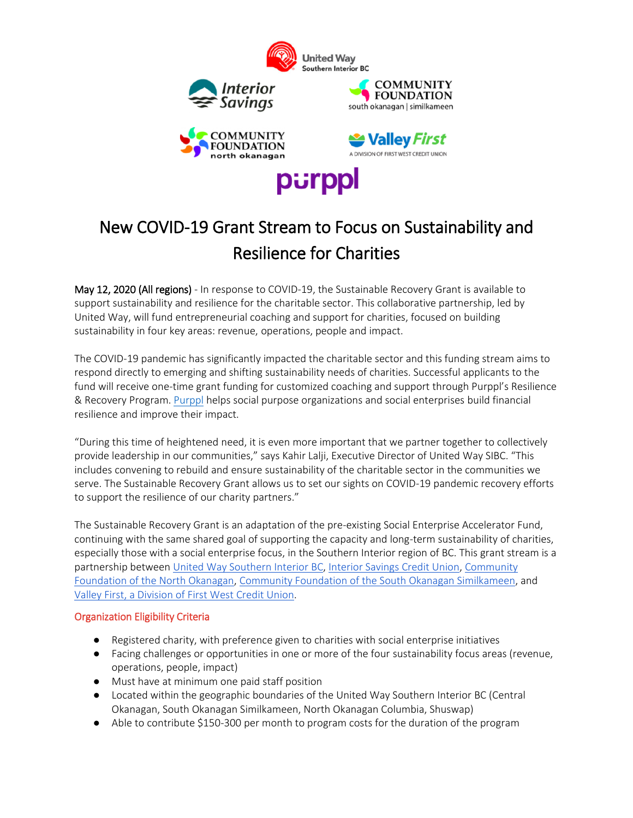

## New COVID-19 Grant Stream to Focus on Sustainability and Resilience for Charities

May 12, 2020 (All regions) - In response to COVID-19, the Sustainable Recovery Grant is available to support sustainability and resilience for the charitable sector. This collaborative partnership, led by United Way, will fund entrepreneurial coaching and support for charities, focused on building sustainability in four key areas: revenue, operations, people and impact.

The COVID-19 pandemic has significantly impacted the charitable sector and this funding stream aims to respond directly to emerging and shifting sustainability needs of charities. Successful applicants to the fund will receive one-time grant funding for customized coaching and support through Purppl's Resilience & Recovery Program. [Purppl](http://www.purppl.com/) helps social purpose organizations and social enterprises build financial resilience and improve their impact.

"During this time of heightened need, it is even more important that we partner together to collectively provide leadership in our communities," says Kahir Lalji, Executive Director of United Way SIBC. "This includes convening to rebuild and ensure sustainability of the charitable sector in the communities we serve. The Sustainable Recovery Grant allows us to set our sights on COVID-19 pandemic recovery efforts to support the resilience of our charity partners."

The Sustainable Recovery Grant is an adaptation of the pre-existing Social Enterprise Accelerator Fund, continuing with the same shared goal of supporting the capacity and long-term sustainability of charities, especially those with a social enterprise focus, in the Southern Interior region of BC. This grant stream is a partnership between [United Way Southern](https://unitedwaysibc.com/) Interior BC, [Interior Savings](https://www.interiorsavings.com/) Credit Union[, Community](https://cfno.org/)  [Foundation of the North Okanagan,](https://cfno.org/) [Community Foundation of the South Okanagan](https://www.cfso.net/) Similkameen, and [Valley First, a Division of First West Credit Union.](https://www.valleyfirst.com/)

## Organization Eligibility Criteria

- Registered charity, with preference given to charities with social enterprise initiatives
- Facing challenges or opportunities in one or more of the four sustainability focus areas (revenue, operations, people, impact)
- Must have at minimum one paid staff position
- Located within the geographic boundaries of the United Way Southern Interior BC (Central Okanagan, South Okanagan Similkameen, North Okanagan Columbia, Shuswap)
- Able to contribute \$150-300 per month to program costs for the duration of the program